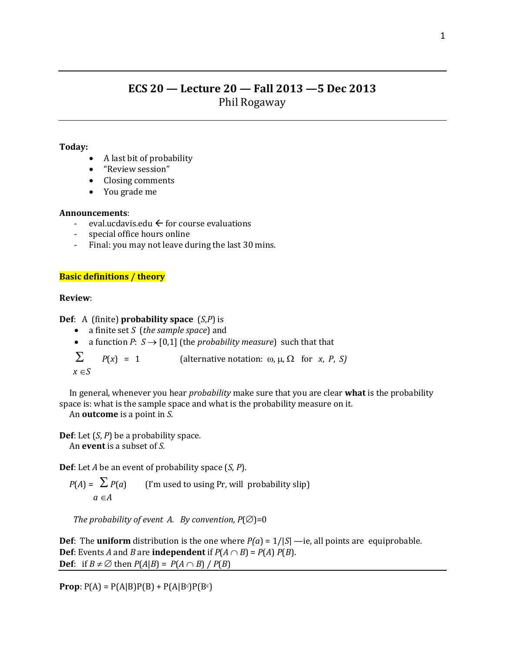# **ECS 20 — Lecture 20 — Fall 2013 —5 Dec 2013** Phil Rogaway

### **Today:**

- A last bit of probability
- "Review session"
- Closing comments
- You grade me

### **Announcements**:

- eval.ucdavis.edu  $\leftarrow$  for course evaluations
- special office hours online
- Final: you may not leave during the last 30 mins.

# **Basic definitions / theory**

## **Review**:

**Def**: A (finite) **probability space** (*S*,*P*) is

- a finite set *S* (*the sample space*) and
- a function *P*:  $S \rightarrow [0,1]$  (the *probability measure*) such that that

 $\sum$  *P*(*x*) = 1 (alternative notation:  $\omega$ ,  $\mu$ ,  $\Omega$  for *x*, *P*, *S*)

 $x \in S$ 

 In general, whenever you hear *probability* make sure that you are clear **what** is the probability space is: what is the sample space and what is the probability measure on it.

An **outcome** is a point in *S*.

**Def**: Let (*S*, *P*) be a probability space. An **event** is a subset of *S.*

**Def**: Let *A* be an event of probability space (*S*, *P*).

$$
P(A) = \sum P(a)
$$
 (*I'm* used to using Pr, will probability slip)  

$$
a \in A
$$

*The probability of event A. By convention,*  $P(\emptyset) = 0$ 

**Def**: The **uniform** distribution is the one where  $P(a) = 1/|S|$  —ie, all points are equiprobable. **Def**: Events *A* and *B* are **independent** if  $P(A \cap B) = P(A) P(B)$ . **Def**: if  $B \neq \emptyset$  then  $P(A|B) = P(A \cap B) / P(B)$ 

**Prop**:  $P(A) = P(A|B)P(B) + P(A|B^c)P(B^c)$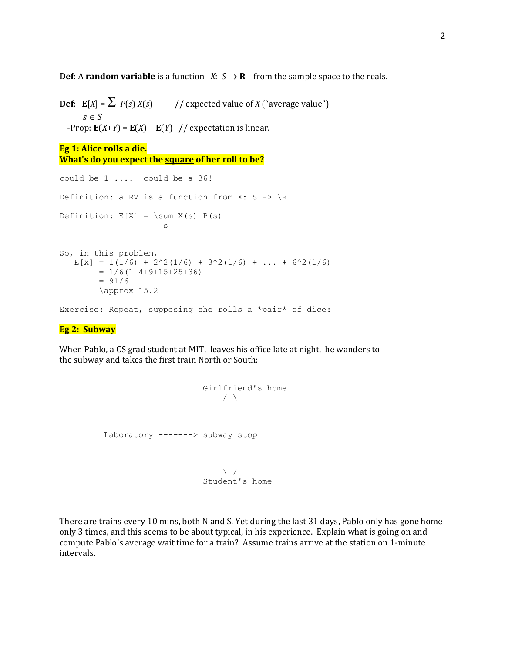**Def**: A **random variable** is a function *X*:  $S \rightarrow \mathbf{R}$  from the sample space to the reals.

**Def**:  $\mathbf{E}[X] = \sum P(s) X(s)$  // expected value of *X* ("average value")  $s \in S$  $-$ Prop:  $E(X+Y) = E(X) + E(Y)$  // expectation is linear.

```
Eg 1: Alice rolls a die. 
What's do you expect the square of her roll to be?
```

```
could be 1 .... could be a 36!
Definition: a RV is a function from X: S \rightarrow \ RDefinition: E[X] = \sum X(s) P(s)s and the state of the state of the state of the state of the state of the state of the state of the state of the state of the state of the state of the state of the state of the state of the state of the state of the stat
So, in this problem, 
     E[X] = 1(1/6) + 2^2(1/6) + 3^2(1/6) + ... + 6^2(1/6)= 1/6(1+4+9+15+25+36)= 91/6 \approx 15.2
Exercise: Repeat, supposing she rolls a *pair* of dice:
```
#### **Eg 2: Subway**

When Pablo, a CS grad student at MIT, leaves his office late at night, he wanders to the subway and takes the first train North or South:



There are trains every 10 mins, both N and S. Yet during the last 31 days, Pablo only has gone home only 3 times, and this seems to be about typical, in his experience. Explain what is going on and compute Pablo's average wait time for a train? Assume trains arrive at the station on 1-minute intervals.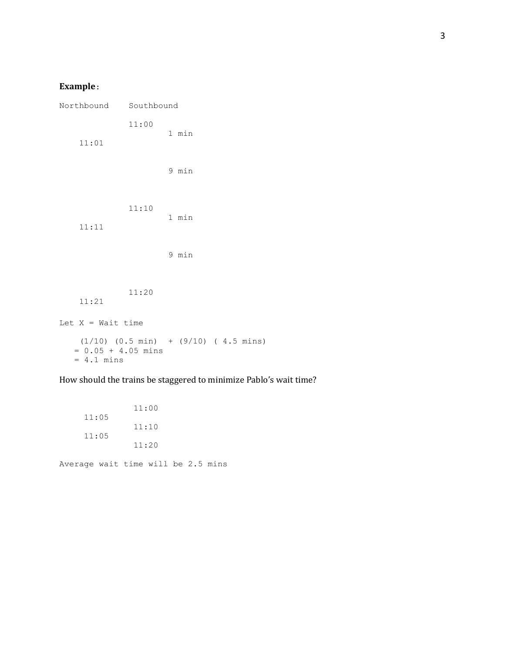# **Example**:

| Northbound Southbound                                                                |       |  |       |  |  |
|--------------------------------------------------------------------------------------|-------|--|-------|--|--|
| 11:01                                                                                | 11:00 |  | 1 min |  |  |
| 11:11                                                                                | 11:10 |  | 9 min |  |  |
|                                                                                      |       |  | 1 min |  |  |
|                                                                                      |       |  | 9 min |  |  |
| 11:21                                                                                | 11:20 |  |       |  |  |
| Let $X = Wait$ time                                                                  |       |  |       |  |  |
| $(1/10)$ $(0.5 min)$ + $(9/10)$ $(4.5 mins)$<br>$= 0.05 + 4.05$ mins<br>$= 4.1$ mins |       |  |       |  |  |

How should the trains be staggered to minimize Pablo's wait time?

 11:00 11:05 11:10 11:05 11:20

Average wait time will be 2.5 mins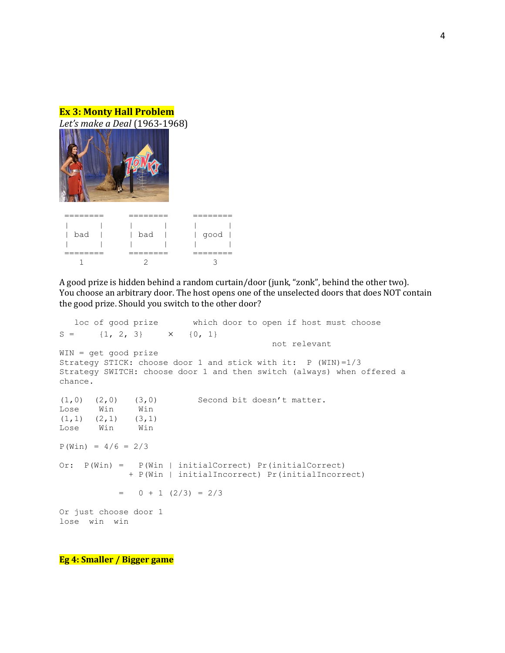



| --------<br>________ | _______<br>________  | -------<br>________ |  |  |
|----------------------|----------------------|---------------------|--|--|
|                      |                      | <b>College</b>      |  |  |
| bad                  | l bad                | $ $ good $ $        |  |  |
|                      | $\mathbf{L}$         | $\mathbf{I}$        |  |  |
| --------<br>________ | --------<br>________ | _______<br>________ |  |  |
|                      |                      |                     |  |  |

A good prize is hidden behind a random curtain/door (junk, "zonk", behind the other two). You choose an arbitrary door. The host opens one of the unselected doors that does NOT contain the good prize. Should you switch to the other door?

 loc of good prize which door to open if host must choose  $S = \{1, 2, 3\}$   $\times$   $\{0, 1\}$  not relevant WIN = get good prize Strategy STICK: choose door 1 and stick with it: P (WIN)=1/3 Strategy SWITCH: choose door 1 and then switch (always) when offered a chance.  $(1,0)$   $(2,0)$   $(3,0)$  Second bit doesn't matter. Lose Win Win  $(1,1)$   $(2,1)$   $(3,1)$ Lose Win Win  $P(Win) = 4/6 = 2/3$ Or: P(Win) = P(Win | initialCorrect) Pr(initialCorrect) + P(Win | initialIncorrect) Pr(initialIncorrect)  $= 0 + 1 (2/3) = 2/3$ Or just choose door 1 lose win win

**Eg 4: Smaller / Bigger game**